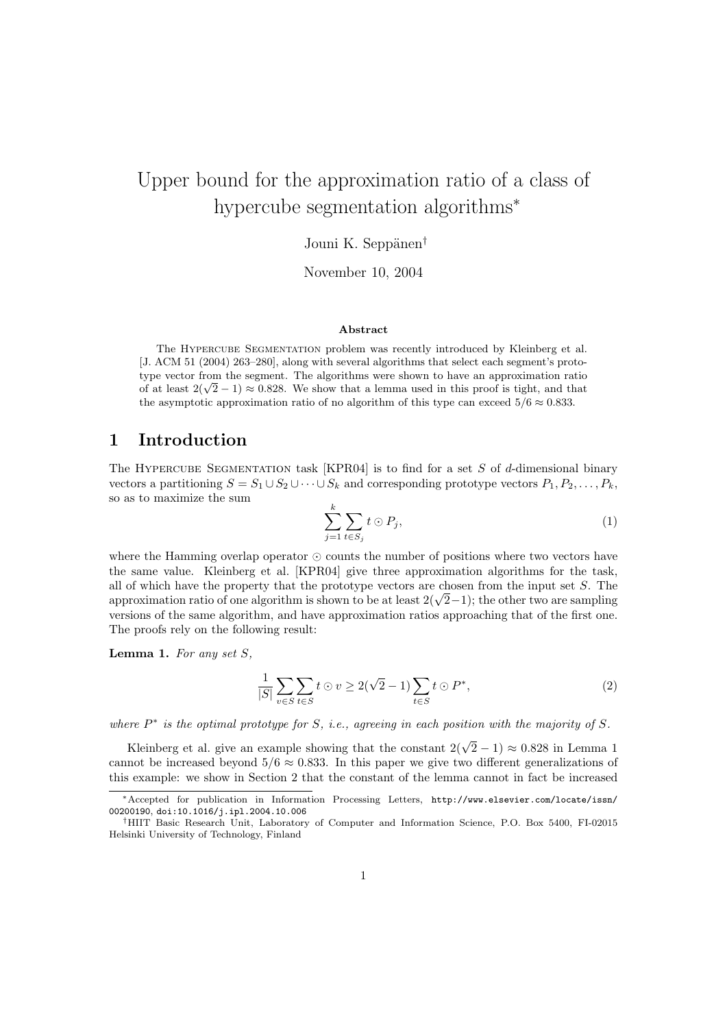# Upper bound for the approximation ratio of a class of hypercube segmentation algorithms<sup>∗</sup>

#### Jouni K. Seppänen<sup>†</sup>

November 10, 2004

#### Abstract

The Hypercube Segmentation problem was recently introduced by Kleinberg et al. [J. ACM 51 (2004) 263–280], along with several algorithms that select each segment's prototype vector from the segment. The algorithms were shown to have an approximation ratio type vector from the segment. The algorithms were shown to have an approximation ratio of at least  $2(\sqrt{2}-1) \approx 0.828$ . We show that a lemma used in this proof is tight, and that the asymptotic approximation ratio of no algorithm of this type can exceed  $5/6 \approx 0.833$ .

#### 1 Introduction

The HYPERCUBE SEGMENTATION task [\[KPR04\]](#page-3-0) is to find for a set  $S$  of d-dimensional binary vectors a partitioning  $S = S_1 \cup S_2 \cup \cdots \cup S_k$  and corresponding prototype vectors  $P_1, P_2, \ldots, P_k$ , so as to maximize the sum

<span id="page-0-1"></span>
$$
\sum_{j=1}^{k} \sum_{t \in S_j} t \odot P_j,\tag{1}
$$

where the Hamming overlap operator  $\odot$  counts the number of positions where two vectors have the same value. Kleinberg et al. [\[KPR04\]](#page-3-0) give three approximation algorithms for the task, all of which have the property that the prototype vectors are chosen from the input set  $S$ . The all of which have the property that the prototype vectors are chosen from the input set S. The approximation ratio of one algorithm is shown to be at least  $2(\sqrt{2}-1)$ ; the other two are sampling versions of the same algorithm, and have approximation ratios approaching that of the first one. The proofs rely on the following result:

<span id="page-0-0"></span>**Lemma 1.** For any set  $S$ ,

<span id="page-0-2"></span>
$$
\frac{1}{|S|} \sum_{v \in S} \sum_{t \in S} t \odot v \ge 2(\sqrt{2} - 1) \sum_{t \in S} t \odot P^*,\tag{2}
$$

where  $P^*$  is the optimal prototype for S, i.e., agreeing in each position with the majority of S.

Kleinberg et al. give an example showing that the constant  $2(\sqrt{2}-1) \approx 0.828$  in Lemma [1](#page-0-0) cannot be increased beyond  $5/6 \approx 0.833$ . In this paper we give two different generalizations of this example: we show in Section [2](#page-1-0) that the constant of the lemma cannot in fact be increased

<sup>∗</sup>Accepted for publication in Information Processing Letters, [http://www.elsevier.com/locate/issn/](http://www.elsevier.com/locate/issn/00200190) [00200190](http://www.elsevier.com/locate/issn/00200190), [doi:10.1016/j.ipl.2004.10.006](http://dx.doi.org/10.1016/j.ipl.2004.10.006)

<sup>†</sup>HIIT Basic Research Unit, Laboratory of Computer and Information Science, P.O. Box 5400, FI-02015 Helsinki University of Technology, Finland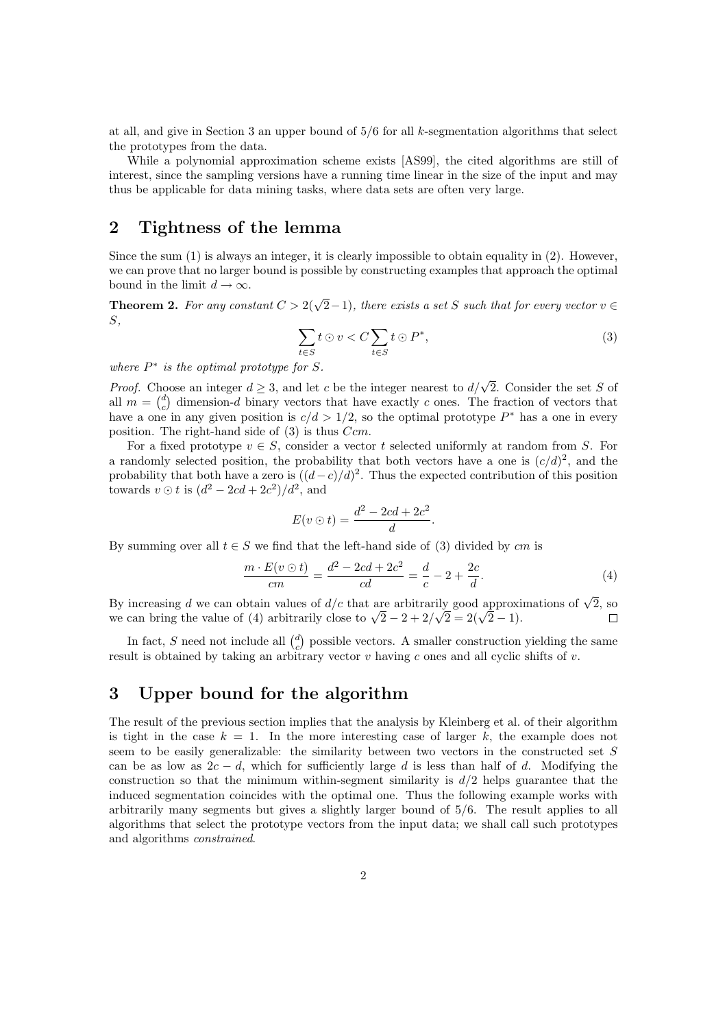at all, and give in Section [3](#page-1-1) an upper bound of  $5/6$  for all k-segmentation algorithms that select the prototypes from the data.

While a polynomial approximation scheme exists [\[AS99\]](#page-3-1), the cited algorithms are still of interest, since the sampling versions have a running time linear in the size of the input and may thus be applicable for data mining tasks, where data sets are often very large.

### <span id="page-1-0"></span>2 Tightness of the lemma

Since the sum [\(1\)](#page-0-1) is always an integer, it is clearly impossible to obtain equality in [\(2\)](#page-0-2). However, we can prove that no larger bound is possible by constructing examples that approach the optimal bound in the limit  $d \to \infty$ .

<span id="page-1-2"></span>**Theorem 2.** For any constant  $C > 2(\sqrt{2}-1)$ , there exists a set S such that for every vector  $v \in$ S,

$$
\sum_{t \in S} t \odot v < C \sum_{t \in S} t \odot P^*,\tag{3}
$$

where  $P^*$  is the optimal prototype for S.

*Proof.* Choose an integer  $d \geq 3$ , and let c be the integer nearest to  $d/\sqrt{2}$ . Consider the set S of all  $m = \begin{pmatrix} d \\ c \end{pmatrix}$  dimension-d binary vectors that have exactly c ones. The fraction of vectors that have a one in any given position is  $c/d > 1/2$ , so the optimal prototype  $P^*$  has a one in every position. The right-hand side of  $(3)$  is thus  $Ccm$ .

For a fixed prototype  $v \in S$ , consider a vector t selected uniformly at random from S. For a randomly selected position, the probability that both vectors have a one is  $(c/d)^2$ , and the probability that both have a zero is  $((d-c)/d)^2$ . Thus the expected contribution of this position towards  $v \odot t$  is  $(d^2 - 2cd + 2c^2)/d^2$ , and

<span id="page-1-3"></span>
$$
E(v \odot t) = \frac{d^2 - 2cd + 2c^2}{d}.
$$

By summing over all  $t \in S$  we find that the left-hand side of [\(3\)](#page-1-2) divided by cm is

$$
\frac{m \cdot E(v \odot t)}{cm} = \frac{d^2 - 2cd + 2c^2}{cd} = \frac{d}{c} - 2 + \frac{2c}{d}.
$$
\n(4)

By increasing d we can obtain values of  $d/c$  that are arbitrarily good approximations of  $\sqrt{2}$ , so By increasing a we can obtain values of  $a/c$  that are arbitrarily good approximation we can bring the value of [\(4\)](#page-1-3) arbitrarily close to  $\sqrt{2}-2+2/\sqrt{2}=2(\sqrt{2}-1)$ .  $\Box$ 

In fact, S need not include all  $\binom{d}{c}$  possible vectors. A smaller construction yielding the same result is obtained by taking an arbitrary vector  $v$  having c ones and all cyclic shifts of  $v$ .

### <span id="page-1-1"></span>3 Upper bound for the algorithm

<span id="page-1-4"></span>The result of the previous section implies that the analysis by Kleinberg et al. of their algorithm is tight in the case  $k = 1$ . In the more interesting case of larger k, the example does not seem to be easily generalizable: the similarity between two vectors in the constructed set  $S$ can be as low as  $2c - d$ , which for sufficiently large d is less than half of d. Modifying the construction so that the minimum within-segment similarity is  $d/2$  helps guarantee that the induced segmentation coincides with the optimal one. Thus the following example works with arbitrarily many segments but gives a slightly larger bound of 5/6. The result applies to all algorithms that select the prototype vectors from the input data; we shall call such prototypes and algorithms constrained.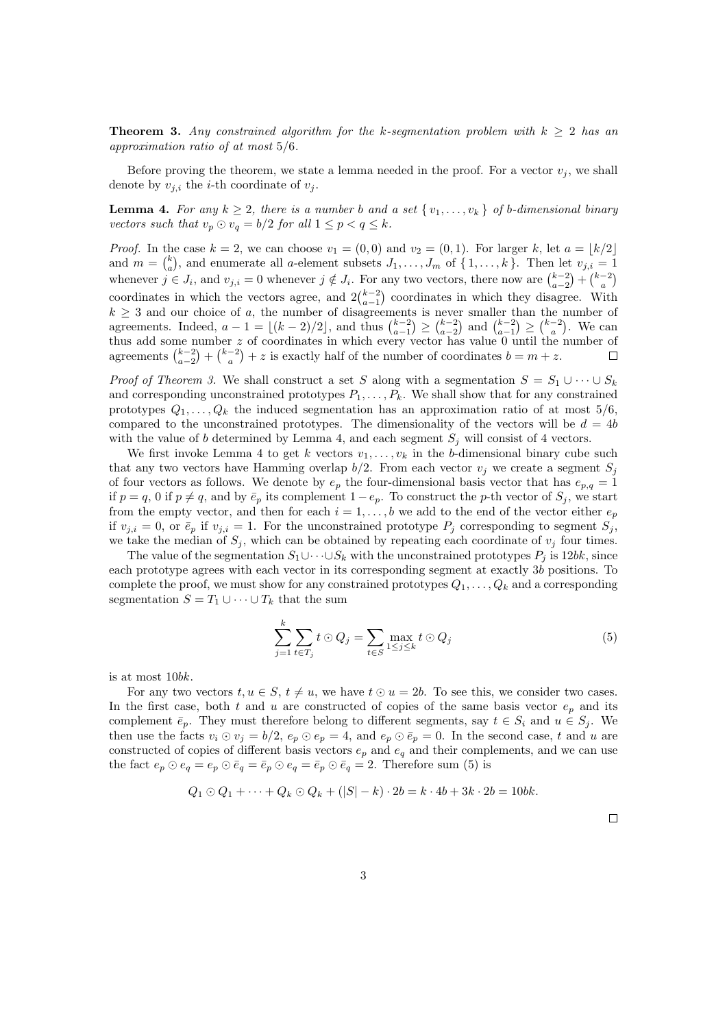**Theorem 3.** Any constrained algorithm for the k-segmentation problem with  $k \geq 2$  has an approximation ratio of at most 5/6.

Before proving the theorem, we state a lemma needed in the proof. For a vector  $v_i$ , we shall denote by  $v_{j,i}$  the *i*-th coordinate of  $v_j$ .

<span id="page-2-0"></span>**Lemma 4.** For any  $k \geq 2$ , there is a number b and a set  $\{v_1, \ldots, v_k\}$  of b-dimensional binary vectors such that  $v_p \odot v_q = b/2$  for all  $1 \leq p < q \leq k$ .

*Proof.* In the case  $k = 2$ , we can choose  $v_1 = (0, 0)$  and  $v_2 = (0, 1)$ . For larger k, let  $a = \lfloor k/2 \rfloor$ and  $m = {k \choose a}$ , and enumerate all a-element subsets  $J_1, \ldots, J_m$  of  $\{1, \ldots, k\}$ . Then let  $v_{j,i} = 1$ whenever  $j \in J_i$ , and  $v_{j,i} = 0$  whenever  $j \notin J_i$ . For any two vectors, there now are  $\binom{k-2}{a-2} + \binom{k-2}{a}$ coordinates in which the vectors agree, and  $2\binom{k-2}{a-1}$  coordinates in which they disagree. With  $k \geq 3$  and our choice of a, the number of disagreements is never smaller than the number of agreements. Indeed,  $a - 1 = \lfloor (k - 2)/2 \rfloor$ , and thus  $\binom{k-2}{a-1} \geq \binom{k-2}{a-2}$  and  $\binom{k-2}{a-1} \geq \binom{k-2}{a}$ . We can thus add some number z of coordinates in which every vector has value 0 until the number of agreements  $\binom{k-2}{a-2} + \binom{k-2}{a} + z$  is exactly half of the number of coordinates  $b = m + z$ .

*Proof of Theorem [3.](#page-1-4)* We shall construct a set S along with a segmentation  $S = S_1 \cup \cdots \cup S_k$ and corresponding unconstrained prototypes  $P_1, \ldots, P_k$ . We shall show that for any constrained prototypes  $Q_1, \ldots, Q_k$  the induced segmentation has an approximation ratio of at most  $5/6$ , compared to the unconstrained prototypes. The dimensionality of the vectors will be  $d = 4b$ with the value of b determined by Lemma [4,](#page-2-0) and each segment  $S_i$  will consist of 4 vectors.

We first invoke Lemma [4](#page-2-0) to get k vectors  $v_1, \ldots, v_k$  in the b-dimensional binary cube such that any two vectors have Hamming overlap  $b/2$ . From each vector  $v_j$  we create a segment  $S_j$ of four vectors as follows. We denote by  $e_p$  the four-dimensional basis vector that has  $e_{p,q} = 1$ if  $p = q$ , 0 if  $p \neq q$ , and by  $\bar{e}_p$  its complement  $1 - e_p$ . To construct the p-th vector of  $S_j$ , we start from the empty vector, and then for each  $i = 1, \ldots, b$  we add to the end of the vector either  $e_p$ if  $v_{j,i} = 0$ , or  $\bar{e}_p$  if  $v_{j,i} = 1$ . For the unconstrained prototype  $P_j$  corresponding to segment  $S_j$ , we take the median of  $S_j$ , which can be obtained by repeating each coordinate of  $v_j$  four times.

The value of the segmentation  $S_1 \cup \cdots \cup S_k$  with the unconstrained prototypes  $P_i$  is 12bk, since each prototype agrees with each vector in its corresponding segment at exactly 3b positions. To complete the proof, we must show for any constrained prototypes  $Q_1, \ldots, Q_k$  and a corresponding segmentation  $S = T_1 \cup \cdots \cup T_k$  that the sum

<span id="page-2-1"></span>
$$
\sum_{j=1}^{k} \sum_{t \in T_j} t \odot Q_j = \sum_{t \in S} \max_{1 \le j \le k} t \odot Q_j \tag{5}
$$

is at most 10bk.

For any two vectors  $t, u \in S$ ,  $t \neq u$ , we have  $t \odot u = 2b$ . To see this, we consider two cases. In the first case, both t and u are constructed of copies of the same basis vector  $e_p$  and its complement  $\bar{e}_p$ . They must therefore belong to different segments, say  $t \in S_i$  and  $u \in S_j$ . We then use the facts  $v_i \odot v_j = b/2$ ,  $e_p \odot e_p = 4$ , and  $e_p \odot \bar{e}_p = 0$ . In the second case, t and u are constructed of copies of different basis vectors  $e_p$  and  $e_q$  and their complements, and we can use the fact  $e_p \odot e_q = e_p \odot \bar{e}_q = \bar{e}_p \odot e_q = \bar{e}_p \odot \bar{e}_q = 2$ . Therefore sum [\(5\)](#page-2-1) is

$$
Q_1 \odot Q_1 + \cdots + Q_k \odot Q_k + (|S| - k) \cdot 2b = k \cdot 4b + 3k \cdot 2b = 10bk.
$$

 $\Box$